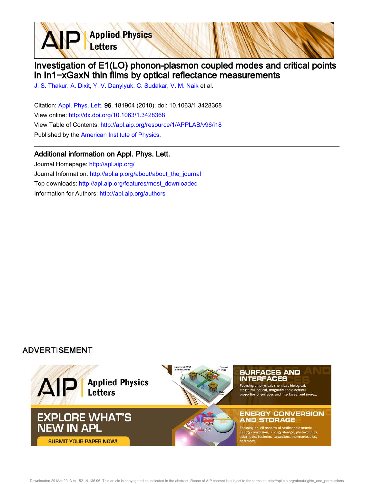**Applied Physics** Letters

## Investigation of E1(LO) phonon-plasmon coupled modes and critical points in In1−xGaxN thin films by optical reflectance measurements

J. S. Thakur, A. Dixit, Y. V. Danylyuk, C. Sudakar, V. M. Naik et al.

Citation: Appl. Phys. Lett. 96, 181904 (2010); doi: 10.1063/1.3428368 View online: http://dx.doi.org/10.1063/1.3428368 View Table of Contents: http://apl.aip.org/resource/1/APPLAB/v96/i18 Published by the American Institute of Physics.

## Additional information on Appl. Phys. Lett.

Journal Homepage: http://apl.aip.org/ Journal Information: http://apl.aip.org/about/about\_the\_journal Top downloads: http://apl.aip.org/features/most\_downloaded Information for Authors: http://apl.aip.org/authors

## **ADVERTISEMENT**

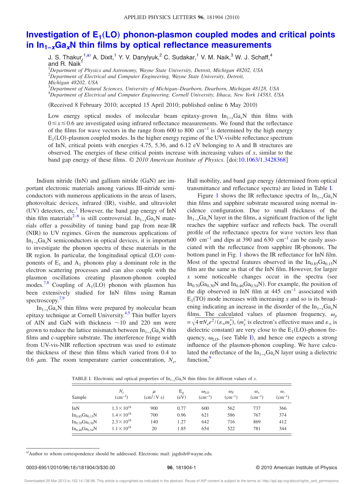## Investigation of E<sub>1</sub>(LO) phonon-plasmon coupled modes and critical points **in In1−xGaxN thin films by optical reflectance measurements**

J. S. Thakur,<sup>1,a)</sup> A. Dixit,<sup>1</sup> Y. V. Danylyuk,<sup>2</sup> C. Sudakar,<sup>1</sup> V. M. Naik,<sup>3</sup> W. J. Schaff,<sup>4</sup> and R. Naik

<sup>1</sup>*Department of Physics and Astronomy, Wayne State University, Detroit, Michigan 48202, USA* <sup>2</sup>*Department of Electrical and Computer Engineering, Wayne State University, Detroit,*

*Michigan 48202, USA*

<sup>3</sup>*Department of Natural Sciences, University of Michigan–Dearborn, Dearborn, Michigan 48128, USA*

<sup>4</sup>*Department of Electrical and Computer Engineering, Cornell University, Ithaca, New York 14583, USA*

(Received 8 February 2010; accepted 15 April 2010; published online 6 May 2010)

Low energy optical modes of molecular beam epitaxy-grown  $In<sub>1-x</sub>Ga<sub>x</sub>N$  thin films with  $0 \le x \le 0.6$  are investigated using infrared reflectance measurements. We found that the reflectance of the films for wave vectors in the range from 600 to 800 cm−1 is determined by the high energy  $E_1(LO)$ -plasmon coupled modes. In the higher energy regime of the UV-visible reflectance spectrum of InN, critical points with energies 4.75, 5.36, and 6.12 eV belonging to A and B structures are observed. The energies of these critical points increase with increasing values of *x*, similar to the band gap energy of these films.  $\odot$  2010 American Institute of Physics. [doi:10.1063/1.3428368]

Indium nitride (InN) and gallium nitride (GaN) are important electronic materials among various III-nitride semiconductors with numerous applications in the areas of lasers, photovoltaic devices, infrared (IR), visible, and ultraviolet (UV) detectors, etc.<sup>1</sup> However, the band gap energy of InN thin film materials<sup>2–6</sup> is still controversial.  $In_{1-x}Ga_xN$  materials offer a possibility of tuning band gap from near-IR (NIR) to UV regimes. Given the numerous applications of  $In<sub>1−*x*</sub>Ga<sub>*x*</sub>N$  semiconductors in optical devices, it is important to investigate the phonon spectra of these materials in the IR region. In particular, the longitudinal optical (LO) components of  $E_1$  and  $A_1$  phonons play a dominant role in the electron scattering processes and can also couple with the plasmon oscillations creating plasmon-phonon coupled modes.<sup>7,8</sup> Coupling of  $A_1(LO)$  phonon with plasmon has been extensively studied for InN films using Raman spectroscopy.<sup>7,9</sup>

In<sub>1−*x*</sub>Ga<sub>*x*</sub>N thin films were prepared by molecular beam epitaxy technique at Cornell University.<sup>4,5</sup> Thin buffer layers of AlN and GaN with thickness  $\sim$  10 and 220 nm were grown to reduce the lattice mismatch between In1−*<sup>x</sup>*Ga*x*N thin films and c-sapphire substrate. The interference fringe width from UV-vis-NIR reflection spectrum was used to estimate the thickness of these thin films which varied from 0.4 to 0.6  $\mu$ m. The room temperature carrier concentration,  $N_e$ ,

Hall mobility, and band gap energy determined from optical transmittance and reflectance spectra) are listed in Table I.

Figure 1 shows the IR reflectance spectra of In1−*<sup>x</sup>*Ga*x*N thin films and sapphire substrate measured using normal incidence configuration. Due to small thickness of the  $In<sub>1−x</sub>Ga<sub>x</sub>N$  layer in the films, a significant fraction of the light reaches the sapphire surface and reflects back. The overall profile of the reflectance spectra for wave vectors less than 600 cm−1 and dips at 390 and 630 cm−1 can be easily associated with the reflectance from sapphire IR-phonons. The bottom panel in Fig. 1 shows the IR reflectance for InN film. Most of the spectral features observed in the  $In<sub>0.85</sub>Ga<sub>0.15</sub>N$ film are the same as that of the InN film. However, for larger  $x$  some noticeable changes occur in the spectra (see  $In_{0.70}Ga_{0.30}N$  and  $In_{0.46}Ga_{0.54}N$ ). For example, the position of the dip observed in InN film at 445 cm−1 associated with  $E_1(TO)$  mode increases with increasing *x* and so is its broadening indicating an increase in the disorder of the In1−*<sup>x</sup>*Ga*x*N films. The calculated values of plasmon frequency,  $\omega_p$  $=\sqrt{4\pi N_e e^2/(\epsilon_\infty m_e^*)}$ ,  $(m_e^*$  is electron's effective mass and  $\epsilon_\infty$  is dielectric constant) are very close to the  $E_1(LO)$ -phonon frequency,  $\omega_{LO}$ , (see Table I), and hence one expects a strong influence of the plasmon-phonon coupling. We have calculated the reflectance of the  $In<sub>1-x</sub>Ga<sub>x</sub>N$  layer using a dielectric function,

TABLE I. Electronic and optical properties of  $\text{In}_{1-x}\text{Ga}_x\text{N}$  thin films for different values of *x*.

|                       | $N_e$                | $\mu$                     | $E_{\rm g}$ | $\omega_{\text{LO}}$ | $\omega_P$  | $\omega_{\perp}$ | $\omega$    |
|-----------------------|----------------------|---------------------------|-------------|----------------------|-------------|------------------|-------------|
| Sample                | $(cm^{-3})$          | $\text{cm}^2/\text{V}$ s) | (eV)        | $(cm^{-1})$          | $(cm^{-1})$ | $\rm (cm^{-1})$  | $(cm^{-1})$ |
| InN                   | $1.3 \times 10^{18}$ | 900                       | 0.77        | 600                  | 562         | 737              | 366         |
| $In_{0.85}Ga_{0.15}N$ | $1.4 \times 10^{18}$ | 700                       | 0.96        | 621                  | 586         | 767              | 374         |
| $In_{0.70}Ga_{0.30}N$ | $2.3 \times 10^{18}$ | 140                       | 1.27        | 642                  | 716         | 869              | 412         |
| $In_{0.46}Ga_{0.54}N$ | $1.1 \times 10^{18}$ | 20                        | 1.85        | 654                  | 522         | 781              | 344         |

a) Author to whom correspondence should be addressed. Electronic mail: jagdish@wayne.edu.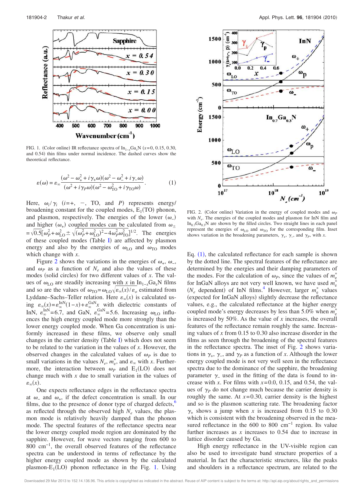

FIG. 1. (Color online) IR reflectance spectra of  $\text{In}_{1-x}\text{Ga}_x\text{N}$  ( $x=0$ , 0.15, 0.30, and 0.54) thin films under normal incidence. The dashed curves show the theoretical reflectance.

$$
\varepsilon(\omega) = \varepsilon_{\infty} \frac{(\omega^2 - \omega_+^2 + i\gamma_+ \omega)(\omega^2 - \omega_-^2 + i\gamma_- \omega)}{(\omega^2 + i\gamma_+ \omega)(\omega^2 - \omega_{\text{TO}}^2 + i\gamma_{\text{TO}} \omega)}.
$$
 (1)

Here,  $\omega_i / \gamma_i$  (*i*=+, -, TO, and *P*) represents energy/ broadening constant for the coupled modes,  $E_1(TO)$  phonon, and plasmon, respectively. The energies of the lower  $(\omega)$ and higher  $(\omega_+)$  coupled modes can be calculated from  $\omega_{\pm}$  $=\sqrt{0.5}[\omega_p^2 + \omega_{\text{LO}}^2 \pm \sqrt{(\omega_p^2 + \omega_{\text{LO}}^2)^2 - 4\omega_p^2 \omega_{\text{TO}}^2}]^{1/2}$ . The energies of these coupled modes (Table I) are affected by plasmon energy and also by the energies of  $\omega_{\text{LO}}$  and  $\omega_{\text{TO}}$  modes which change with *x*.

Figure 2 shows the variations in the energies of  $\omega_+$ ,  $\omega_-$ , and  $\omega_p$  as a function of  $N_e$  and also the values of these modes (solid circles) for two different values of  $x$ . The values of  $\omega_{LO}$  are steadily increasing with *x* in In<sub>1−*x*</sub>Ga<sub>*x*</sub>N films and so are the values of  $\omega_{\text{TO}} = \omega_{\text{LO}} \sqrt{\varepsilon_{\infty}(x)/\varepsilon_o}$  estimated from Lyddane–Sachs–Teller relation. Here  $\varepsilon_{\infty}(x)$  is calculated using  $\varepsilon_{\infty}(x) = \varepsilon_{\infty}^{\text{InN}}(1-x) + \varepsilon_{\infty}^{\text{GalN}}x$  with dielectric constants of InN,  $\varepsilon_{\infty}^{\text{InN}}=6.7$ , and GaN,  $\varepsilon_{\infty}^{\text{GaN}}=5.6$ . Increasing  $\omega_{\text{LO}}$  influences the high energy coupled mode more strongly than the lower energy coupled mode. When Ga concentration is uniformly increased in these films, we observe only small changes in the carrier density (Table  $I$ ) which does not seem to be related to the variation in the values of *x*. However, the observed changes in the calculated values of  $\omega_p$  is due to small variations in the values  $N_e$ ,  $m_e^*$ , and  $\varepsilon_\infty$  with *x*. Furthermore, the interaction between  $\omega_P$  and  $E_1(LO)$  does not change much with *x* due to small variation in the values of  $\varepsilon_{\infty}(x)$ .

One expects reflectance edges in the reflectance spectra at  $\omega$ <sub>-</sub> and  $\omega$ <sub>+</sub>, if the defect concentration is small. In our films, due to the presence of donor type of charged defects, $\frac{6}{5}$ as reflected through the observed high  $N_e$  values, the plasmon mode is relatively heavily damped than the phonon mode. The spectral features of the reflectance spectra near the lower energy coupled mode region are dominated by the sapphire. However, for wave vectors ranging from 600 to 800 cm−1, the overall observed features of the reflectance spectra can be understood in terms of reflectance by the higher energy coupled mode as shown by the calculated plasmon- $E_1$ (LO) phonon reflectance in the Fig. 1. Using



FIG. 2. (Color online) Variation in the energy of coupled modes and  $\omega_p$ with  $N_e$ . The energies of the coupled modes and plasmon for InN film and  $In_{0.7}Ga_{0.3}N$  are shown by the filled circles. Two straight lines in each panel represent the energies of  $\omega_{LO}$  and  $\omega_{TO}$  for the corresponding film. Inset shows variation in the broadening parameters,  $\gamma_+$ ,  $\gamma_-$ , and  $\gamma_p$ , with *x*.

Eq.  $(1)$ , the calculated reflectance for each sample is shown by the dotted line. The spectral features of the reflectance are determined by the energies and their damping parameters of the modes. For the calculation of  $\omega_p$ , since the values of  $m_e^*$ for InGaN alloys are not very well known, we have used *m*<sup>e</sup>  $(N_e \text{ dependent})$  of InN films.<sup>4</sup> However, larger  $m_e^*$  values (expected for InGaN alloys) slightly decrease the reflectance values, e.g., the calculated reflectance at the higher energy coupled mode's energy decreases by less than 5.0% when  $m_e^*$ is increased by 50%. As the value of *x* increases, the overall features of the reflectance remain roughly the same. Increasing values of *x* from 0.15 to 0.30 also increase disorder in the films as seen through the broadening of the spectral features in the reflectance spectra. The inset of Fig. 2 shows variations in  $\gamma_+$ ,  $\gamma_-$ , and  $\gamma_p$  as a function of *x*. Although the lower energy coupled mode is not very well seen in the reflectance spectra due to the dominance of the sapphire, the broadening parameter  $\gamma$  used in the fitting of the data is found to increase with *x*. For films with  $x=0.0$ , 0.15, and 0.54, the values of  $\gamma_P$  do not change much because the carrier density is roughly the same. At  $x=0.30$ , carrier density is the highest and so is the plasmon scattering rate. The broadening factor  $\gamma_{+}$  shows a jump when *x* is increased from 0.15 to 0.30 which is consistent with the broadening observed in the measured reflectance in the 600 to 800 cm<sup>-1</sup> region. Its value further increases as *x* increases to 0.54 due to increase in lattice disorder caused by Ga.

High energy reflectance in the UV-visible region can also be used to investigate band structure properties of a material. In fact the characteristic structures, like the peaks and shoulders in a reflectance spectrum, are related to the